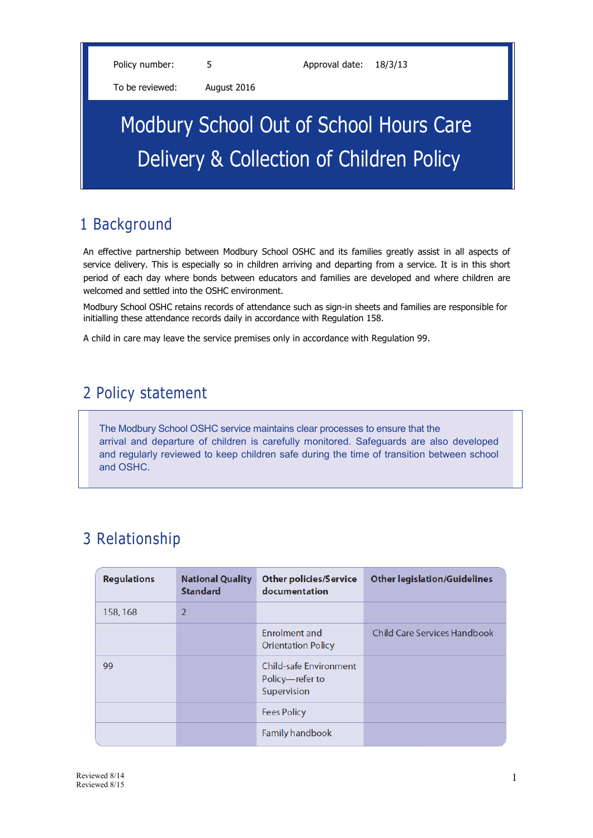Policy number: 5 5 Approval date: 18/3/13

To be reviewed: August 2016

# Modbury School Out of School Hours Care Delivery & Collection of Children Policy

# 1 Background

An effective partnership between Modbury School OSHC and its families greatly assist in all aspects of service delivery. This is especially so in children arriving and departing from a service. It is in this short period of each day where bonds between educators and families are developed and where children are welcomed and settled into the OSHC environment.

Modbury School OSHC retains records of attendance such as sign-in sheets and families are responsible for initialling these attendance records daily in accordance with Regulation 158.

A child in care may leave the service premises only in accordance with Regulation 99.

### 2 Policy statement

The Modbury School OSHC service maintains clear processes to ensure that the arrival and departure of children is carefully monitored. Safeguards are also developed and regularly reviewed to keep children safe during the time of transition between school and OSHC.

# 3 Relationship

| <b>Regulations</b> | <b>National Quality</b><br><b>Standard</b> | <b>Other policies/Service</b><br>documentation                  | <b>Other legislation/Guidelines</b> |
|--------------------|--------------------------------------------|-----------------------------------------------------------------|-------------------------------------|
| 158, 168           | $\overline{2}$                             |                                                                 |                                     |
|                    |                                            | Enrolment and<br><b>Orientation Policy</b>                      | <b>Child Care Services Handbook</b> |
| 99                 |                                            | <b>Child-safe Environment</b><br>Policy-refer to<br>Supervision |                                     |
|                    |                                            | <b>Fees Policy</b>                                              |                                     |
|                    |                                            | <b>Family handbook</b>                                          |                                     |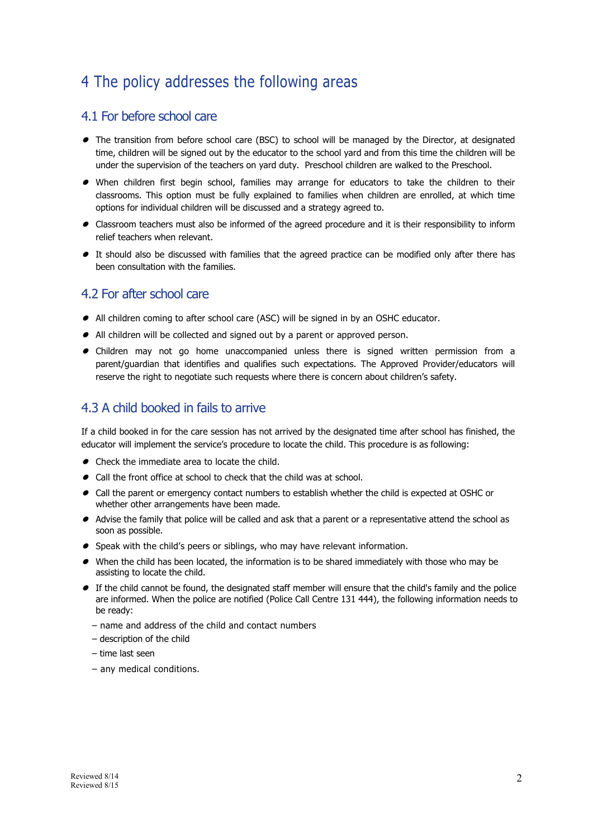## 4 The policy addresses the following areas

#### 4.1 For before school care

- $\bullet$  The transition from before school care (BSC) to school will be managed by the Director, at designated time, children will be signed out by the educator to the school yard and from this time the children will be under the supervision of the teachers on yard duty. Preschool children are walked to the Preschool.
- $\bullet$  When children first begin school, families may arrange for educators to take the children to their classrooms. This option must be fully explained to families when children are enrolled, at which time options for individual children will be discussed and a strategy agreed to.
- Classroom teachers must also be informed of the agreed procedure and it is their responsibility to inform relief teachers when relevant.
- $\bullet$  It should also be discussed with families that the agreed practice can be modified only after there has been consultation with the families.

#### 4.2 For after school care

- $\bullet$  All children coming to after school care (ASC) will be signed in by an OSHC educator.
- All children will be collected and signed out by a parent or approved person.
- Children may not go home unaccompanied unless there is signed written permission from a parent/guardian that identifies and qualifies such expectations. The Approved Provider/educators will reserve the right to negotiate such requests where there is concern about children's safety.

#### 4.3 A child booked in fails to arrive

If a child booked in for the care session has not arrived by the designated time after school has finished, the educator will implement the service's procedure to locate the child. This procedure is as following:

- Check the immediate area to locate the child.
- $\bullet$  Call the front office at school to check that the child was at school.
- $\bullet$  Call the parent or emergency contact numbers to establish whether the child is expected at OSHC or whether other arrangements have been made.
- Advise the family that police will be called and ask that a parent or a representative attend the school as soon as possible.
- $\bullet$  Speak with the child's peers or siblings, who may have relevant information.
- $\bullet$  When the child has been located, the information is to be shared immediately with those who may be assisting to locate the child.
- $\bullet$  If the child cannot be found, the designated staff member will ensure that the child's family and the police are informed. When the police are notified (Police Call Centre 131 444), the following information needs to be ready:
	- name and address of the child and contact numbers
	- description of the child
	- time last seen
	- any medical conditions.